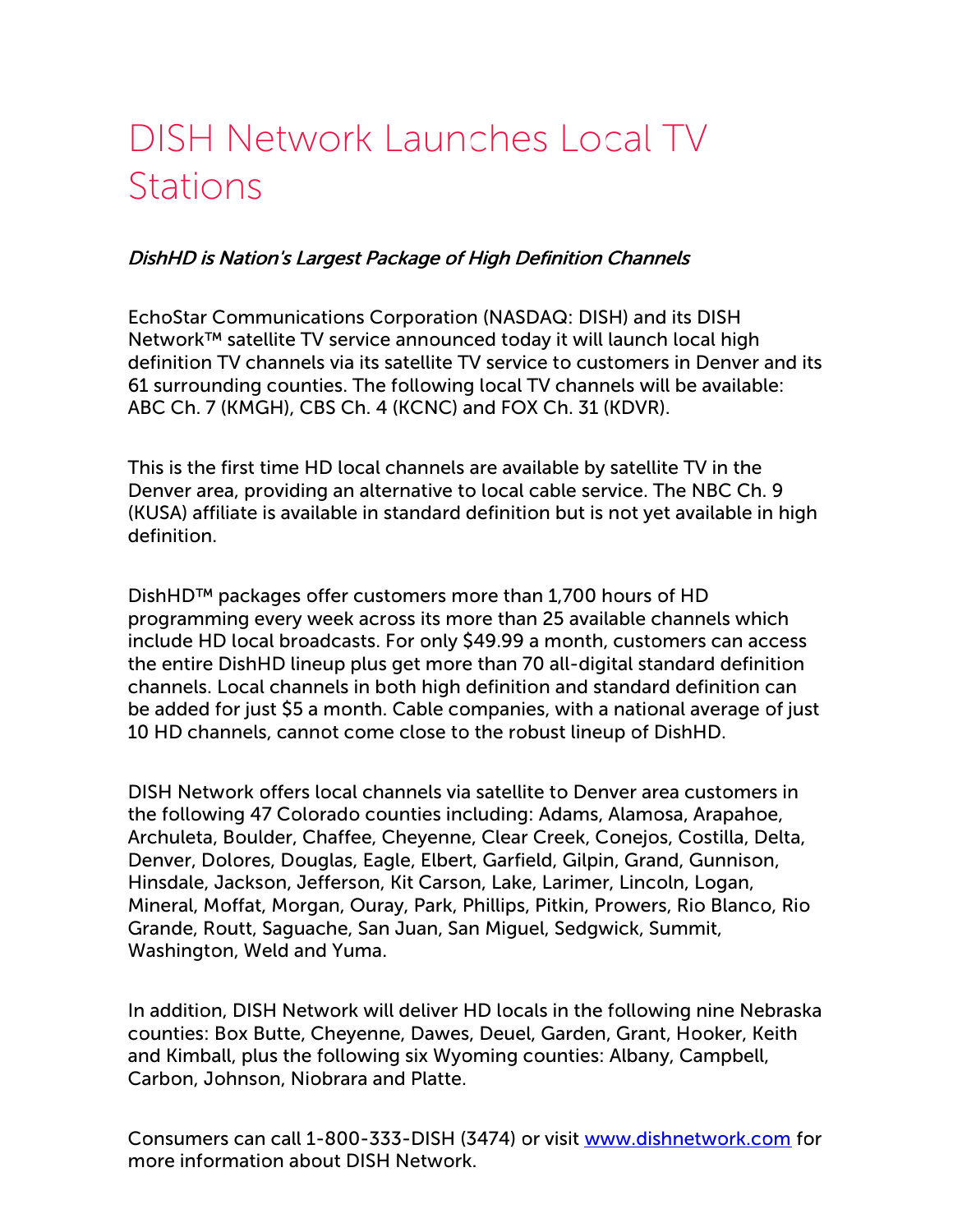## DISH Network Launches Local TV **Stations**

## DishHD is Nation's Largest Package of High Definition Channels

EchoStar Communications Corporation (NASDAQ: DISH) and its DISH Network™ satellite TV service announced today it will launch local high definition TV channels via its satellite TV service to customers in Denver and its 61 surrounding counties. The following local TV channels will be available: ABC Ch. 7 (KMGH), CBS Ch. 4 (KCNC) and FOX Ch. 31 (KDVR).

This is the first time HD local channels are available by satellite TV in the Denver area, providing an alternative to local cable service. The NBC Ch. 9 (KUSA) affiliate is available in standard definition but is not yet available in high definition.

DishHD™ packages offer customers more than 1,700 hours of HD programming every week across its more than 25 available channels which include HD local broadcasts. For only \$49.99 a month, customers can access the entire DishHD lineup plus get more than 70 all-digital standard definition channels. Local channels in both high definition and standard definition can be added for just \$5 a month. Cable companies, with a national average of just 10 HD channels, cannot come close to the robust lineup of DishHD.

DISH Network offers local channels via satellite to Denver area customers in the following 47 Colorado counties including: Adams, Alamosa, Arapahoe, Archuleta, Boulder, Chaffee, Cheyenne, Clear Creek, Conejos, Costilla, Delta, Denver, Dolores, Douglas, Eagle, Elbert, Garfield, Gilpin, Grand, Gunnison, Hinsdale, Jackson, Jefferson, Kit Carson, Lake, Larimer, Lincoln, Logan, Mineral, Moffat, Morgan, Ouray, Park, Phillips, Pitkin, Prowers, Rio Blanco, Rio Grande, Routt, Saguache, San Juan, San Miguel, Sedgwick, Summit, Washington, Weld and Yuma.

In addition, DISH Network will deliver HD locals in the following nine Nebraska counties: Box Butte, Cheyenne, Dawes, Deuel, Garden, Grant, Hooker, Keith and Kimball, plus the following six Wyoming counties: Albany, Campbell, Carbon, Johnson, Niobrara and Platte.

Consumers can call 1-800-333-DISH (3474) or visit [www.dishnetwork.com](http://cts.businesswire.com/ct/CT?id=smartlink&url=http%3A%2F%2Fwww.dishnetwork.com&esheet=50391549&lan=en-US&anchor=www.dishnetwork.com&index=1&md5=09c72267a4f839b63c3bff9d4b9b18a5) for more information about DISH Network.